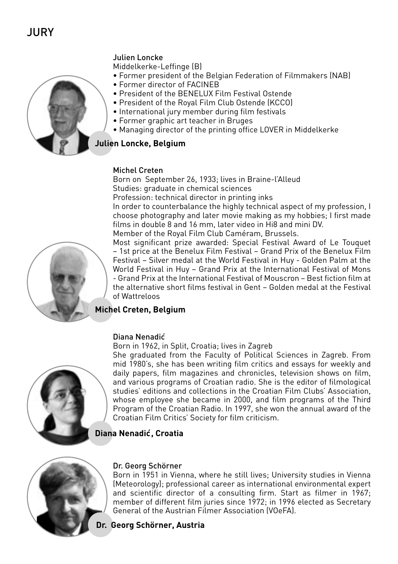# Julien Loncke



- Middelkerke-Leffinge (B)
- Former president of the Belgian Federation of Filmmakers (NAB)
- Former director of FACINEB
- President of the BENELUX Film Festival Ostende
- President of the Royal Film Club Ostende (KCCO)
- International jury member during film festivals
- Former graphic art teacher in Bruges
- Managing director of the printing office LOVER in Middelkerke

# **Julien Loncke, Belgium**

## Michel Creten

Born on September 26, 1933; lives in Braine-l'Alleud Studies: graduate in chemical sciences

Profession: technical director in printing inks

In order to counterbalance the highly technical aspect of my profession, I choose photography and later movie making as my hobbies; I first made films in double 8 and 16 mm, later video in Hi8 and mini DV. Member of the Royal Film Club Caméram, Brussels.

Most significant prize awarded: Special Festival Award of Le Touquet – 1st price at the Benelux Film Festival – Grand Prix of the Benelux Film Festival – Silver medal at the World Festival in Huy - Golden Palm at the World Festival in Huy – Grand Prix at the International Festival of Mons - Grand Prix at the International Festival of Mouscron – Best fiction film at the alternative short films festival in Gent – Golden medal at the Festival of Wattreloos

# **Michel Creten, Belgium**

## Diana Nenadic´

Born in 1962, in Split, Croatia; lives in Zagreb



She graduated from the Faculty of Political Sciences in Zagreb. From mid 1980's, she has been writing film critics and essays for weekly and daily papers, film magazines and chronicles, television shows on film, and various programs of Croatian radio. She is the editor of filmological studies' editions and collections in the Croatian Film Clubs' Association, whose employee she became in 2000, and film programs of the Third Program of the Croatian Radio. In 1997, she won the annual award of the Croatian Film Critics' Society for film criticism.

# **Diana Nenadic´, Croatia**



## Dr. Georg Schörner

Born in 1951 in Vienna, where he still lives; University studies in Vienna (Meteorology); professional career as international environmental expert and scientific director of a consulting firm. Start as filmer in 1967; member of different film juries since 1972; in 1996 elected as Secretary General of the Austrian Filmer Association (VOeFA).